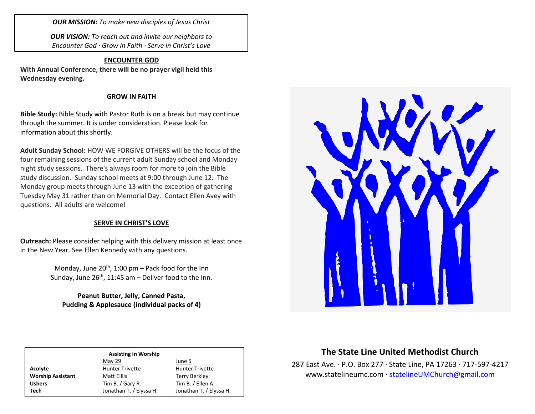*OUR MISSION: To make new disciples of Jesus Christ*

*OUR VISION: To reach out and invite our neighbors to Encounter God · Grow in Faith · Serve in Christ's Love*

#### **ENCOUNTER GOD**

**With Annual Conference, there will be no prayer vigil held this Wednesday evening.**

#### **GROW IN FAITH**

**Bible Study:** Bible Study with Pastor Ruth is on a break but may continue through the summer. It is under consideration. Please look for information about this shortly.

**Adult Sunday School:** HOW WE FORGIVE OTHERS will be the focus of the four remaining sessions of the current adult Sunday school and Monday night study sessions. There's always room for more to join the Bible study discussion. Sunday school meets at 9:00 through June 12. The Monday group meets through June 13 with the exception of gathering Tuesday May 31 rather than on Memorial Day. Contact Ellen Avey with questions. All adults are welcome!

### **SERVE IN CHRIST'S LOVE**

**Outreach:** Please consider helping with this delivery mission at least once in the New Year. See Ellen Kennedy with any questions.

> Monday, June  $20^{th}$ , 1:00 pm – Pack food for the Inn Sunday, June  $26<sup>th</sup>$ , 11:45 am – Deliver food to the Inn.

## **Peanut Butter, Jelly, Canned Pasta, Pudding & Applesauce (individual packs of 4)**



#### **Assisting in Worship** May 29 June 5 Acolyte **Acolyte** Hunter Trivette **Hunter Trivette** Worship Assistant Matt Elllis Terry Berkley Ushers Tim B. / Gary R. Tim B. / Ellen A. **Tech** Jonathan T. / Elyssa H. Jonathan T. / Elyssa H.

# **The State Line United Methodist Church**

287 East Ave. · P.O. Box 277 · State Line, PA 17263 · 717-597-4217 [www.statelineumc.com](http://www.statelineumc.com/) · [statelineUMChurch@gmail.com](mailto:statelineUMChurch@gmail.com)